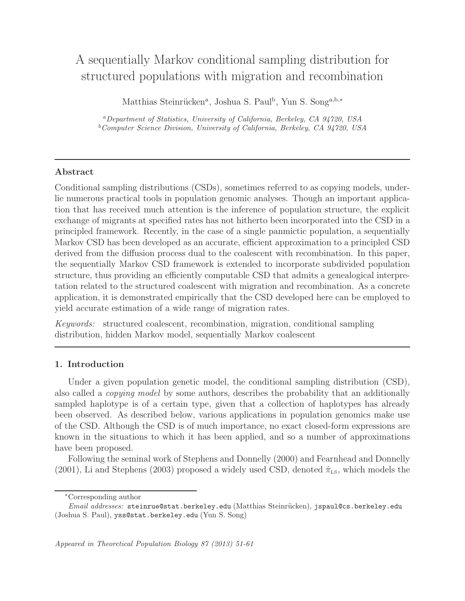# A sequentially Markov conditional sampling distribution for structured populations with migration and recombination

Matthias Steinrücken<sup>a</sup>, Joshua S. Paul<sup>b</sup>, Yun S. Song<sup>a,b,\*</sup>

<sup>a</sup>Department of Statistics, University of California, Berkeley, CA 94720, USA  $b$ Computer Science Division, University of California, Berkeley, CA 94720, USA

# Abstract

Conditional sampling distributions (CSDs), sometimes referred to as copying models, underlie numerous practical tools in population genomic analyses. Though an important application that has received much attention is the inference of population structure, the explicit exchange of migrants at specified rates has not hitherto been incorporated into the CSD in a principled framework. Recently, in the case of a single panmictic population, a sequentially Markov CSD has been developed as an accurate, efficient approximation to a principled CSD derived from the diffusion process dual to the coalescent with recombination. In this paper, the sequentially Markov CSD framework is extended to incorporate subdivided population structure, thus providing an efficiently computable CSD that admits a genealogical interpretation related to the structured coalescent with migration and recombination. As a concrete application, it is demonstrated empirically that the CSD developed here can be employed to yield accurate estimation of a wide range of migration rates.

Keywords: structured coalescent, recombination, migration, conditional sampling distribution, hidden Markov model, sequentially Markov coalescent

# 1. Introduction

Under a given population genetic model, the conditional sampling distribution (CSD), also called a *copying model* by some authors, describes the probability that an additionally sampled haplotype is of a certain type, given that a collection of haplotypes has already been observed. As described below, various applications in population genomics make use of the CSD. Although the CSD is of much importance, no exact closed-form expressions are known in the situations to which it has been applied, and so a number of approximations have been proposed.

Following the seminal work of Stephens and Donnelly (2000) and Fearnhead and Donnelly (2001), Li and Stephens (2003) proposed a widely used CSD, denoted  $\hat{\pi}_{LS}$ , which models the

<sup>∗</sup>Corresponding author

Email addresses: steinrue@stat.berkeley.edu (Matthias Steinrücken), jspaul@cs.berkeley.edu (Joshua S. Paul), yss@stat.berkeley.edu (Yun S. Song)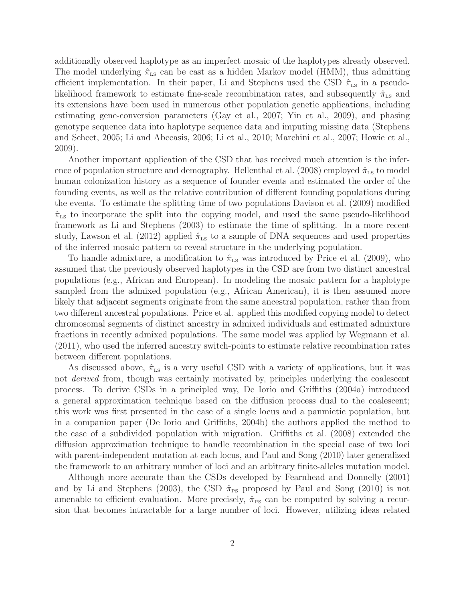additionally observed haplotype as an imperfect mosaic of the haplotypes already observed. The model underlying  $\hat{\pi}_{LS}$  can be cast as a hidden Markov model (HMM), thus admitting efficient implementation. In their paper, Li and Stephens used the CSD  $\hat{\pi}_{LS}$  in a pseudolikelihood framework to estimate fine-scale recombination rates, and subsequently  $\hat{\pi}_{\text{Ls}}$  and its extensions have been used in numerous other population genetic applications, including estimating gene-conversion parameters (Gay et al., 2007; Yin et al., 2009), and phasing genotype sequence data into haplotype sequence data and imputing missing data (Stephens and Scheet, 2005; Li and Abecasis, 2006; Li et al., 2010; Marchini et al., 2007; Howie et al., 2009).

Another important application of the CSD that has received much attention is the inference of population structure and demography. Hellenthal et al. (2008) employed  $\hat{\pi}_{LS}$  to model human colonization history as a sequence of founder events and estimated the order of the founding events, as well as the relative contribution of different founding populations during the events. To estimate the splitting time of two populations Davison et al. (2009) modified  $\hat{\pi}_{\text{LS}}$  to incorporate the split into the copying model, and used the same pseudo-likelihood framework as Li and Stephens (2003) to estimate the time of splitting. In a more recent study, Lawson et al. (2012) applied  $\hat{\pi}_{LS}$  to a sample of DNA sequences and used properties of the inferred mosaic pattern to reveal structure in the underlying population.

To handle admixture, a modification to  $\hat{\pi}_{LS}$  was introduced by Price et al. (2009), who assumed that the previously observed haplotypes in the CSD are from two distinct ancestral populations (e.g., African and European). In modeling the mosaic pattern for a haplotype sampled from the admixed population (e.g., African American), it is then assumed more likely that adjacent segments originate from the same ancestral population, rather than from two different ancestral populations. Price et al. applied this modified copying model to detect chromosomal segments of distinct ancestry in admixed individuals and estimated admixture fractions in recently admixed populations. The same model was applied by Wegmann et al. (2011), who used the inferred ancestry switch-points to estimate relative recombination rates between different populations.

As discussed above,  $\hat{\pi}_{LS}$  is a very useful CSD with a variety of applications, but it was not derived from, though was certainly motivated by, principles underlying the coalescent process. To derive CSDs in a principled way, De Iorio and Griffiths (2004a) introduced a general approximation technique based on the diffusion process dual to the coalescent; this work was first presented in the case of a single locus and a panmictic population, but in a companion paper (De Iorio and Griffiths, 2004b) the authors applied the method to the case of a subdivided population with migration. Griffiths et al. (2008) extended the diffusion approximation technique to handle recombination in the special case of two loci with parent-independent mutation at each locus, and Paul and Song (2010) later generalized the framework to an arbitrary number of loci and an arbitrary finite-alleles mutation model.

Although more accurate than the CSDs developed by Fearnhead and Donnelly (2001) and by Li and Stephens (2003), the CSD  $\hat{\pi}_{PS}$  proposed by Paul and Song (2010) is not amenable to efficient evaluation. More precisely,  $\hat{\pi}_{PS}$  can be computed by solving a recursion that becomes intractable for a large number of loci. However, utilizing ideas related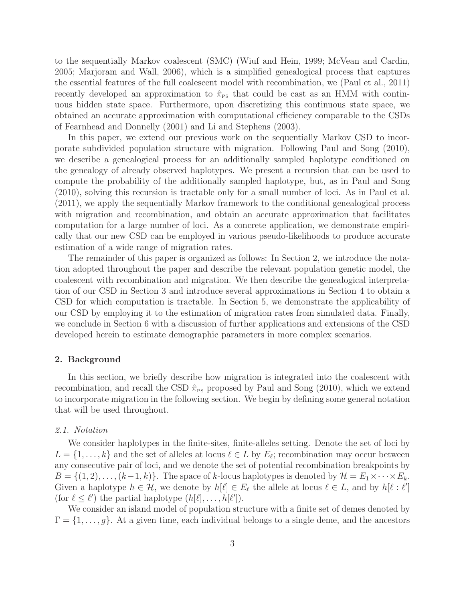to the sequentially Markov coalescent (SMC) (Wiuf and Hein, 1999; McVean and Cardin, 2005; Marjoram and Wall, 2006), which is a simplified genealogical process that captures the essential features of the full coalescent model with recombination, we (Paul et al., 2011) recently developed an approximation to  $\hat{\pi}_{\text{Ps}}$  that could be cast as an HMM with continuous hidden state space. Furthermore, upon discretizing this continuous state space, we obtained an accurate approximation with computational efficiency comparable to the CSDs of Fearnhead and Donnelly (2001) and Li and Stephens (2003).

In this paper, we extend our previous work on the sequentially Markov CSD to incorporate subdivided population structure with migration. Following Paul and Song (2010), we describe a genealogical process for an additionally sampled haplotype conditioned on the genealogy of already observed haplotypes. We present a recursion that can be used to compute the probability of the additionally sampled haplotype, but, as in Paul and Song (2010), solving this recursion is tractable only for a small number of loci. As in Paul et al. (2011), we apply the sequentially Markov framework to the conditional genealogical process with migration and recombination, and obtain an accurate approximation that facilitates computation for a large number of loci. As a concrete application, we demonstrate empirically that our new CSD can be employed in various pseudo-likelihoods to produce accurate estimation of a wide range of migration rates.

The remainder of this paper is organized as follows: In Section 2, we introduce the notation adopted throughout the paper and describe the relevant population genetic model, the coalescent with recombination and migration. We then describe the genealogical interpretation of our CSD in Section 3 and introduce several approximations in Section 4 to obtain a CSD for which computation is tractable. In Section 5, we demonstrate the applicability of our CSD by employing it to the estimation of migration rates from simulated data. Finally, we conclude in Section 6 with a discussion of further applications and extensions of the CSD developed herein to estimate demographic parameters in more complex scenarios.

#### 2. Background

In this section, we briefly describe how migration is integrated into the coalescent with recombination, and recall the CSD  $\hat{\pi}_{PS}$  proposed by Paul and Song (2010), which we extend to incorporate migration in the following section. We begin by defining some general notation that will be used throughout.

#### 2.1. Notation

We consider haplotypes in the finite-sites, finite-alleles setting. Denote the set of loci by  $L = \{1, \ldots, k\}$  and the set of alleles at locus  $\ell \in L$  by  $E_{\ell}$ ; recombination may occur between any consecutive pair of loci, and we denote the set of potential recombination breakpoints by  $B = \{(1, 2), \ldots, (k-1, k)\}.$  The space of k-locus haplotypes is denoted by  $\mathcal{H} = E_1 \times \cdots \times E_k$ . Given a haplotype  $h \in \mathcal{H}$ , we denote by  $h[\ell] \in E_{\ell}$  the allele at locus  $\ell \in L$ , and by  $h[\ell : \ell']$ (for  $\ell \leq \ell'$ ) the partial haplotype  $(h[\ell], \ldots, h[\ell'])$ .

We consider an island model of population structure with a finite set of demes denoted by  $\Gamma = \{1, \ldots, g\}$ . At a given time, each individual belongs to a single deme, and the ancestors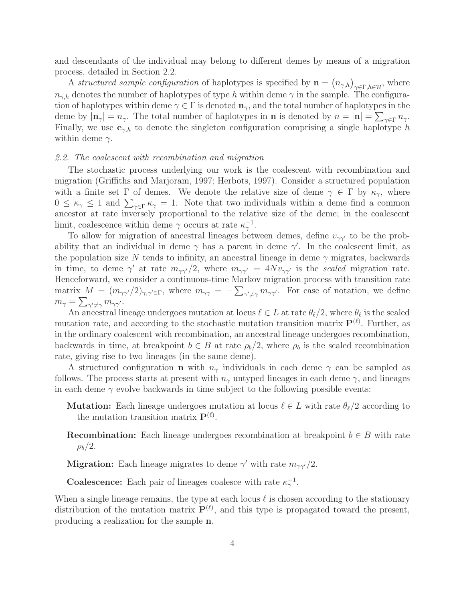and descendants of the individual may belong to different demes by means of a migration process, detailed in Section 2.2.

A structured sample configuration of haplotypes is specified by  $\mathbf{n} = (n_{\gamma,h})_{\gamma \in \Gamma, h \in \mathcal{H}}$ , where  $n_{\gamma,h}$  denotes the number of haplotypes of type h within deme  $\gamma$  in the sample. The configuration of haplotypes within deme  $\gamma \in \Gamma$  is denoted  $\mathbf{n}_{\gamma}$ , and the total number of haplotypes in the deme by  $|\mathbf{n}_{\gamma}| = n_{\gamma}$ . The total number of haplotypes in **n** is denoted by  $n = |\mathbf{n}| = \sum_{\gamma \in \Gamma} n_{\gamma}$ . Finally, we use  $e_{\gamma,h}$  to denote the singleton configuration comprising a single haplotype h within deme  $\gamma$ .

#### 2.2. The coalescent with recombination and migration

The stochastic process underlying our work is the coalescent with recombination and migration (Griffiths and Marjoram, 1997; Herbots, 1997). Consider a structured population with a finite set  $\Gamma$  of demes. We denote the relative size of deme  $\gamma \in \Gamma$  by  $\kappa_{\gamma}$ , where  $0 \leq \kappa_{\gamma} \leq 1$  and  $\sum_{\gamma \in \Gamma} \kappa_{\gamma} = 1$ . Note that two individuals within a deme find a common ancestor at rate inversely proportional to the relative size of the deme; in the coalescent limit, coalescence within deme  $\gamma$  occurs at rate  $\kappa_{\gamma}^{-1}$ .

To allow for migration of ancestral lineages between demes, define  $v_{\gamma\gamma'}$  to be the probability that an individual in deme  $\gamma$  has a parent in deme  $\gamma'$ . In the coalescent limit, as the population size N tends to infinity, an ancestral lineage in deme  $\gamma$  migrates, backwards in time, to deme  $\gamma'$  at rate  $m_{\gamma\gamma'}/2$ , where  $m_{\gamma\gamma'} = 4Nv_{\gamma\gamma'}$  is the scaled migration rate. Henceforward, we consider a continuous-time Markov migration process with transition rate matrix  $M = (m_{\gamma\gamma'}/2)_{\gamma,\gamma'\in\Gamma}$ , where  $m_{\gamma\gamma} = -\sum_{\gamma'\neq\gamma} m_{\gamma\gamma'}$ . For ease of notation, we define  $m_\gamma = \sum_{\gamma'\neq \gamma} m_{\gamma\gamma'}.$ 

An ancestral lineage undergoes mutation at locus  $\ell \in L$  at rate  $\theta_{\ell}/2$ , where  $\theta_{\ell}$  is the scaled mutation rate, and according to the stochastic mutation transition matrix  $\mathbf{P}^{(\ell)}$ . Further, as in the ordinary coalescent with recombination, an ancestral lineage undergoes recombination, backwards in time, at breakpoint  $b \in B$  at rate  $\rho_b/2$ , where  $\rho_b$  is the scaled recombination rate, giving rise to two lineages (in the same deme).

A structured configuration **n** with  $n_{\gamma}$  individuals in each deme  $\gamma$  can be sampled as follows. The process starts at present with  $n<sub>\gamma</sub>$  untyped lineages in each deme  $\gamma$ , and lineages in each deme  $\gamma$  evolve backwards in time subject to the following possible events:

**Mutation:** Each lineage undergoes mutation at locus  $\ell \in L$  with rate  $\theta_{\ell}/2$  according to the mutation transition matrix  $\mathbf{P}^{(\ell)}$ .

**Recombination:** Each lineage undergoes recombination at breakpoint  $b \in B$  with rate  $\rho_b/2$ .

**Migration:** Each lineage migrates to deme  $\gamma'$  with rate  $m_{\gamma\gamma'}/2$ .

**Coalescence:** Each pair of lineages coalesce with rate  $\kappa_{\gamma}^{-1}$ .

When a single lineage remains, the type at each locus  $\ell$  is chosen according to the stationary distribution of the mutation matrix  $P^{(\ell)}$ , and this type is propagated toward the present, producing a realization for the sample n.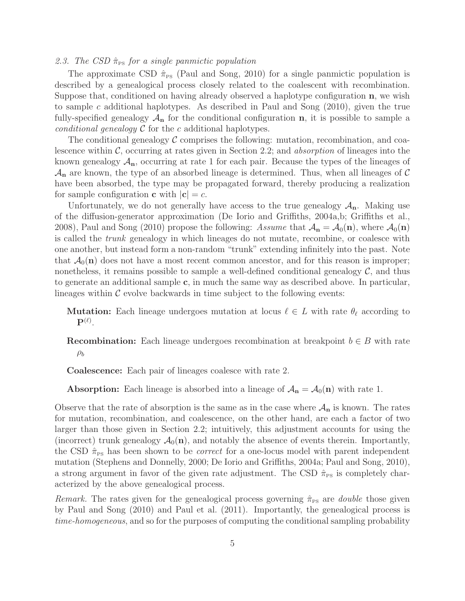## 2.3. The CSD  $\hat{\pi}_{\text{PS}}$  for a single panmictic population

The approximate CSD  $\hat{\pi}_{PS}$  (Paul and Song, 2010) for a single panmictic population is described by a genealogical process closely related to the coalescent with recombination. Suppose that, conditioned on having already observed a haplotype configuration n, we wish to sample c additional haplotypes. As described in Paul and Song (2010), given the true fully-specified genealogy  $A_n$  for the conditional configuration n, it is possible to sample a conditional genealogy  $\mathcal C$  for the c additional haplotypes.

The conditional genealogy  $\mathcal C$  comprises the following: mutation, recombination, and coalescence within  $\mathcal{C}$ , occurring at rates given in Section 2.2; and *absorption* of lineages into the known genealogy  $A_n$ , occurring at rate 1 for each pair. Because the types of the lineages of  $\mathcal{A}_{n}$  are known, the type of an absorbed lineage is determined. Thus, when all lineages of C have been absorbed, the type may be propagated forward, thereby producing a realization for sample configuration **c** with  $|c| = c$ .

Unfortunately, we do not generally have access to the true genealogy  $A_n$ . Making use of the diffusion-generator approximation (De Iorio and Griffiths, 2004a,b; Griffiths et al., 2008), Paul and Song (2010) propose the following: Assume that  $A_n = A_0(n)$ , where  $A_0(n)$ is called the trunk genealogy in which lineages do not mutate, recombine, or coalesce with one another, but instead form a non-random "trunk" extending infinitely into the past. Note that  $\mathcal{A}_0(n)$  does not have a most recent common ancestor, and for this reason is improper; nonetheless, it remains possible to sample a well-defined conditional genealogy  $\mathcal{C}$ , and thus to generate an additional sample c, in much the same way as described above. In particular, lineages within  $\mathcal C$  evolve backwards in time subject to the following events:

**Mutation:** Each lineage undergoes mutation at locus  $\ell \in L$  with rate  $\theta_{\ell}$  according to  $\mathbf{P}^{(\ell)}.$ 

**Recombination:** Each lineage undergoes recombination at breakpoint  $b \in B$  with rate  $\rho_b$ 

Coalescence: Each pair of lineages coalesce with rate 2.

**Absorption:** Each lineage is absorbed into a lineage of  $A_n = A_0(n)$  with rate 1.

Observe that the rate of absorption is the same as in the case where  $A_n$  is known. The rates for mutation, recombination, and coalescence, on the other hand, are each a factor of two larger than those given in Section 2.2; intuitively, this adjustment accounts for using the (incorrect) trunk genealogy  $\mathcal{A}_0(n)$ , and notably the absence of events therein. Importantly, the CSD  $\hat{\pi}_{\text{PS}}$  has been shown to be *correct* for a one-locus model with parent independent mutation (Stephens and Donnelly, 2000; De Iorio and Griffiths, 2004a; Paul and Song, 2010), a strong argument in favor of the given rate adjustment. The CSD  $\hat{\pi}_{\text{PS}}$  is completely characterized by the above genealogical process.

*Remark*. The rates given for the genealogical process governing  $\hat{\pi}_{PS}$  are *double* those given by Paul and Song (2010) and Paul et al. (2011). Importantly, the genealogical process is time-homogeneous, and so for the purposes of computing the conditional sampling probability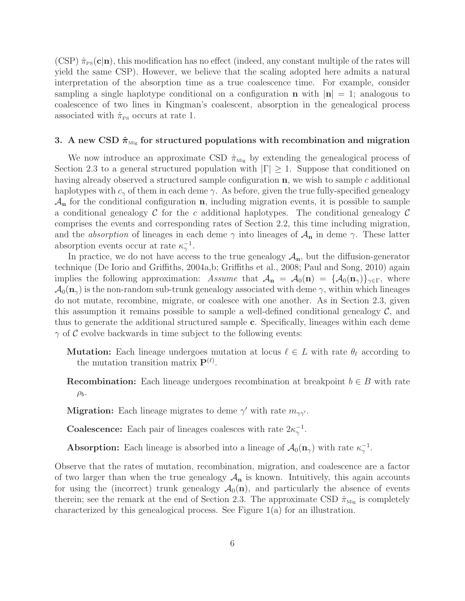$(CSP)$   $\hat{\pi}_{PS}(\mathbf{c}|\mathbf{n})$ , this modification has no effect (indeed, any constant multiple of the rates will yield the same CSP). However, we believe that the scaling adopted here admits a natural interpretation of the absorption time as a true coalescence time. For example, consider sampling a single haplotype conditional on a configuration **n** with  $|\mathbf{n}| = 1$ ; analogous to coalescence of two lines in Kingman's coalescent, absorption in the genealogical process associated with  $\hat{\pi}_{\text{PS}}$  occurs at rate 1.

## 3. A new CSD  $\hat{\pi}_{\text{Mig}}$  for structured populations with recombination and migration

We now introduce an approximate CSD  $\hat{\pi}_{Mig}$  by extending the genealogical process of Section 2.3 to a general structured population with  $|\Gamma| \geq 1$ . Suppose that conditioned on having already observed a structured sample configuration **n**, we wish to sample c additional haplotypes with  $c_{\gamma}$  of them in each deme  $\gamma$ . As before, given the true fully-specified genealogy  $\mathcal{A}_{n}$  for the conditional configuration **n**, including migration events, it is possible to sample a conditional genealogy C for the c additional haplotypes. The conditional genealogy C comprises the events and corresponding rates of Section 2.2, this time including migration, and the *absorption* of lineages in each deme  $\gamma$  into lineages of  $\mathcal{A}_{n}$  in deme  $\gamma$ . These latter absorption events occur at rate  $\kappa_{\gamma}^{-1}$ .

In practice, we do not have access to the true genealogy  $A_n$ , but the diffusion-generator technique (De Iorio and Griffiths, 2004a,b; Griffiths et al., 2008; Paul and Song, 2010) again implies the following approximation: Assume that  $A_{n} = A_0(n) = \{A_0(n_{\gamma})\}_{\gamma \in \Gamma}$ , where  $\mathcal{A}_0(\mathbf{n}_{\gamma})$  is the non-random sub-trunk genealogy associated with deme  $\gamma$ , within which lineages do not mutate, recombine, migrate, or coalesce with one another. As in Section 2.3, given this assumption it remains possible to sample a well-defined conditional genealogy  $\mathcal{C}$ , and thus to generate the additional structured sample c. Specifically, lineages within each deme  $\gamma$  of C evolve backwards in time subject to the following events:

- **Mutation:** Each lineage undergoes mutation at locus  $\ell \in L$  with rate  $\theta_{\ell}$  according to the mutation transition matrix  $\mathbf{P}^{(\ell)}$ .
- **Recombination:** Each lineage undergoes recombination at breakpoint  $b \in B$  with rate  $\rho_b$ .
- **Migration:** Each lineage migrates to deme  $\gamma'$  with rate  $m_{\gamma\gamma'}$ .

**Coalescence:** Each pair of lineages coalesces with rate  $2\kappa_{\gamma}^{-1}$ .

**Absorption:** Each lineage is absorbed into a lineage of  $\mathcal{A}_0(\mathbf{n}_{\gamma})$  with rate  $\kappa_{\gamma}^{-1}$ .

Observe that the rates of mutation, recombination, migration, and coalescence are a factor of two larger than when the true genealogy  $A_n$  is known. Intuitively, this again accounts for using the (incorrect) trunk genealogy  $\mathcal{A}_0(n)$ , and particularly the absence of events therein; see the remark at the end of Section 2.3. The approximate CSD  $\hat{\pi}_{\text{Mig}}$  is completely characterized by this genealogical process. See Figure  $1(a)$  for an illustration.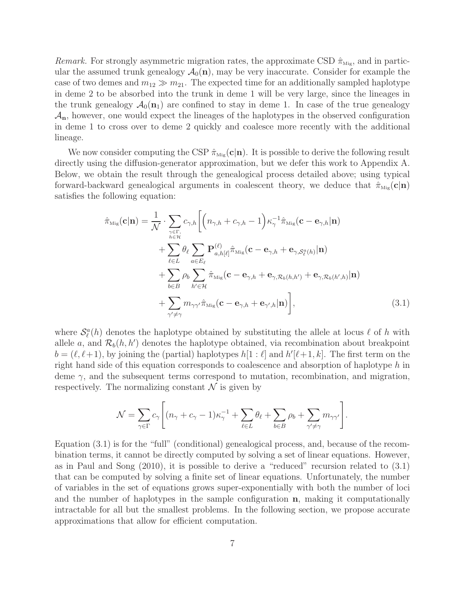*Remark.* For strongly asymmetric migration rates, the approximate CSD  $\hat{\pi}_{\text{Mig}}$ , and in particular the assumed trunk genealogy  $\mathcal{A}_0(n)$ , may be very inaccurate. Consider for example the case of two demes and  $m_{12} \gg m_{21}$ . The expected time for an additionally sampled haplotype in deme 2 to be absorbed into the trunk in deme 1 will be very large, since the lineages in the trunk genealogy  $\mathcal{A}_0(\mathbf{n}_1)$  are confined to stay in deme 1. In case of the true genealogy  $\mathcal{A}_{n}$ , however, one would expect the lineages of the haplotypes in the observed configuration in deme 1 to cross over to deme 2 quickly and coalesce more recently with the additional lineage.

We now consider computing the CSP  $\hat{\pi}_{Mig}(\mathbf{c}|\mathbf{n})$ . It is possible to derive the following result directly using the diffusion-generator approximation, but we defer this work to Appendix A. Below, we obtain the result through the genealogical process detailed above; using typical forward-backward genealogical arguments in coalescent theory, we deduce that  $\hat{\pi}_{\text{Mig}}(c|n)$ satisfies the following equation:

$$
\hat{\pi}_{\text{Mig}}(\mathbf{c}|\mathbf{n}) = \frac{1}{\mathcal{N}} \cdot \sum_{\substack{\gamma \in \Gamma, \\ h \in \mathcal{H}}} c_{\gamma,h} \bigg[ \bigg( n_{\gamma,h} + c_{\gamma,h} - 1 \bigg) \kappa_{\gamma}^{-1} \hat{\pi}_{\text{Mig}}(\mathbf{c} - \mathbf{e}_{\gamma,h}|\mathbf{n}) \n+ \sum_{\ell \in L} \theta_{\ell} \sum_{a \in E_{\ell}} \mathbf{P}_{a,h[\ell]}^{(\ell)} \hat{\pi}_{\text{Mig}}(\mathbf{c} - \mathbf{e}_{\gamma,h} + \mathbf{e}_{\gamma,\mathcal{S}_{\ell}^{a}(h)}|\mathbf{n}) \n+ \sum_{b \in B} \rho_{b} \sum_{h' \in \mathcal{H}} \hat{\pi}_{\text{Mig}}(\mathbf{c} - \mathbf{e}_{\gamma,h} + \mathbf{e}_{\gamma,\mathcal{R}_{b}(h,h')} + \mathbf{e}_{\gamma,\mathcal{R}_{b}(h',h)}|\mathbf{n}) \n+ \sum_{\gamma' \neq \gamma} m_{\gamma\gamma'} \hat{\pi}_{\text{Mig}}(\mathbf{c} - \mathbf{e}_{\gamma,h} + \mathbf{e}_{\gamma',h}|\mathbf{n}) \bigg],
$$
\n(3.1)

where  $\mathcal{S}_{\ell}^{a}(h)$  denotes the haplotype obtained by substituting the allele at locus  $\ell$  of h with allele a, and  $\mathcal{R}_b(h, h')$  denotes the haplotype obtained, via recombination about breakpoint  $b = (\ell, \ell+1)$ , by joining the (partial) haplotypes  $h[1:\ell]$  and  $h'[\ell+1, k]$ . The first term on the right hand side of this equation corresponds to coalescence and absorption of haplotype h in deme  $\gamma$ , and the subsequent terms correspond to mutation, recombination, and migration, respectively. The normalizing constant  $\mathcal N$  is given by

$$
\mathcal{N} = \sum_{\gamma \in \Gamma} c_{\gamma} \left[ (n_{\gamma} + c_{\gamma} - 1) \kappa_{\gamma}^{-1} + \sum_{\ell \in L} \theta_{\ell} + \sum_{b \in B} \rho_{b} + \sum_{\gamma' \neq \gamma} m_{\gamma \gamma'} \right].
$$

Equation (3.1) is for the "full" (conditional) genealogical process, and, because of the recombination terms, it cannot be directly computed by solving a set of linear equations. However, as in Paul and Song (2010), it is possible to derive a "reduced" recursion related to (3.1) that can be computed by solving a finite set of linear equations. Unfortunately, the number of variables in the set of equations grows super-exponentially with both the number of loci and the number of haplotypes in the sample configuration n, making it computationally intractable for all but the smallest problems. In the following section, we propose accurate approximations that allow for efficient computation.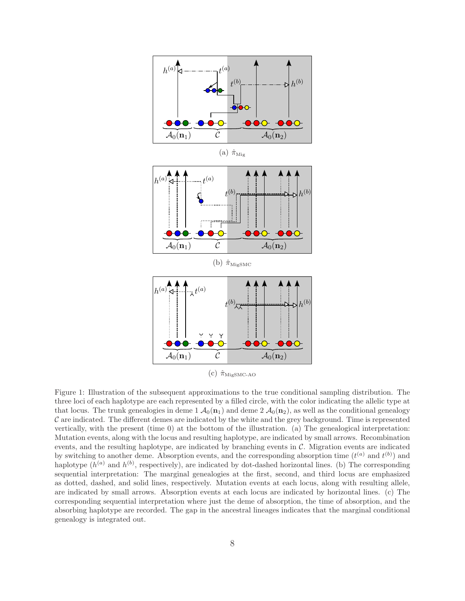

(a)  $\hat{\pi}_{\text{Mig}}$ 





(c)  $\hat{\pi}_{\text{MigSMC-AO}}$ 

Figure 1: Illustration of the subsequent approximations to the true conditional sampling distribution. The three loci of each haplotype are each represented by a filled circle, with the color indicating the allelic type at that locus. The trunk genealogies in deme 1  $\mathcal{A}_0(\mathbf{n}_1)$  and deme 2  $\mathcal{A}_0(\mathbf{n}_2)$ , as well as the conditional genealogy  $C$  are indicated. The different demes are indicated by the white and the grey background. Time is represented vertically, with the present (time 0) at the bottom of the illustration. (a) The genealogical interpretation: Mutation events, along with the locus and resulting haplotype, are indicated by small arrows. Recombination events, and the resulting haplotype, are indicated by branching events in  $C$ . Migration events are indicated by switching to another deme. Absorption events, and the corresponding absorption time  $(t^{(a)}$  and  $t^{(b)})$  and haplotype  $(h^{(a)}$  and  $h^{(b)}$ , respectively), are indicated by dot-dashed horizontal lines. (b) The corresponding sequential interpretation: The marginal genealogies at the first, second, and third locus are emphasized as dotted, dashed, and solid lines, respectively. Mutation events at each locus, along with resulting allele, are indicated by small arrows. Absorption events at each locus are indicated by horizontal lines. (c) The corresponding sequential interpretation where just the deme of absorption, the time of absorption, and the absorbing haplotype are recorded. The gap in the ancestral lineages indicates that the marginal conditional genealogy is integrated out.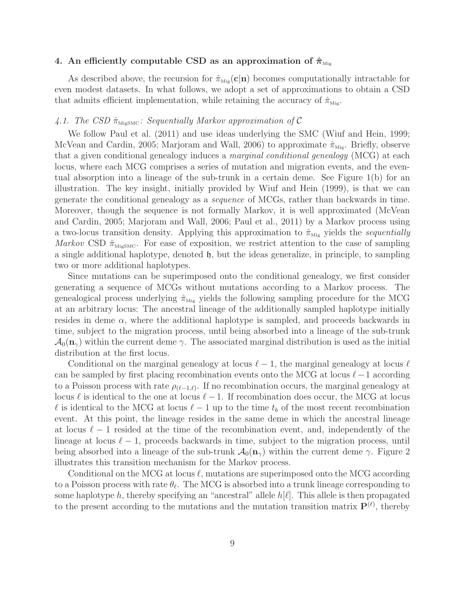# 4. An efficiently computable CSD as an approximation of  $\hat{\pi}_{\text{Mig}}$

As described above, the recursion for  $\hat{\pi}_{\text{Mig}}(c|n)$  becomes computationally intractable for even modest datasets. In what follows, we adopt a set of approximations to obtain a CSD that admits efficient implementation, while retaining the accuracy of  $\hat{\pi}_{\text{Mie}}$ .

## 4.1. The CSD  $\hat{\pi}_{\text{MiggsMC}}$ : Sequentially Markov approximation of C

We follow Paul et al. (2011) and use ideas underlying the SMC (Wiuf and Hein, 1999; McVean and Cardin, 2005; Marjoram and Wall, 2006) to approximate  $\hat{\pi}_{Mig}$ . Briefly, observe that a given conditional genealogy induces a marginal conditional genealogy (MCG) at each locus, where each MCG comprises a series of mutation and migration events, and the eventual absorption into a lineage of the sub-trunk in a certain deme. See Figure 1(b) for an illustration. The key insight, initially provided by Wiuf and Hein (1999), is that we can generate the conditional genealogy as a sequence of MCGs, rather than backwards in time. Moreover, though the sequence is not formally Markov, it is well approximated (McVean and Cardin, 2005; Marjoram and Wall, 2006; Paul et al., 2011) by a Markov process using a two-locus transition density. Applying this approximation to  $\hat{\pi}_{\text{Mig}}$  yields the sequentially Markov CSD  $\hat{\pi}_{\text{MiggsMC}}$ . For ease of exposition, we restrict attention to the case of sampling a single additional haplotype, denoted  $\mathfrak{h}$ , but the ideas generalize, in principle, to sampling two or more additional haplotypes.

Since mutations can be superimposed onto the conditional genealogy, we first consider generating a sequence of MCGs without mutations according to a Markov process. The genealogical process underlying  $\hat{\pi}_{\text{Mig}}$  yields the following sampling procedure for the MCG at an arbitrary locus: The ancestral lineage of the additionally sampled haplotype initially resides in deme  $\alpha$ , where the additional haplotype is sampled, and proceeds backwards in time, subject to the migration process, until being absorbed into a lineage of the sub-trunk  $\mathcal{A}_0(\mathbf{n}_{\gamma})$  within the current deme  $\gamma$ . The associated marginal distribution is used as the initial distribution at the first locus.

Conditional on the marginal genealogy at locus  $\ell-1$ , the marginal genealogy at locus  $\ell$ can be sampled by first placing recombination events onto the MCG at locus  $\ell-1$  according to a Poisson process with rate  $\rho_{(\ell-1,\ell)}$ . If no recombination occurs, the marginal genealogy at locus  $\ell$  is identical to the one at locus  $\ell - 1$ . If recombination does occur, the MCG at locus  $\ell$  is identical to the MCG at locus  $\ell - 1$  up to the time  $t_b$  of the most recent recombination event. At this point, the lineage resides in the same deme in which the ancestral lineage at locus  $\ell - 1$  resided at the time of the recombination event, and, independently of the lineage at locus  $\ell - 1$ , proceeds backwards in time, subject to the migration process, until being absorbed into a lineage of the sub-trunk  $\mathcal{A}_0(\mathbf{n}_\gamma)$  within the current deme  $\gamma$ . Figure 2 illustrates this transition mechanism for the Markov process.

Conditional on the MCG at locus  $\ell$ , mutations are superimposed onto the MCG according to a Poisson process with rate  $\theta_{\ell}$ . The MCG is absorbed into a trunk lineage corresponding to some haplotype h, thereby specifying an "ancestral" allele  $h[\ell]$ . This allele is then propagated to the present according to the mutations and the mutation transition matrix  $\mathbf{P}^{(\ell)}$ , thereby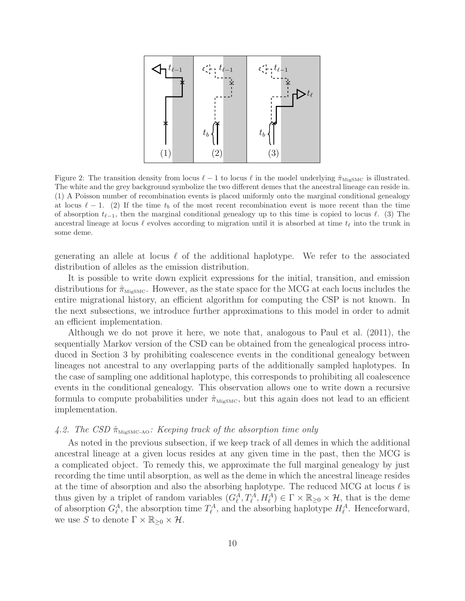

Figure 2: The transition density from locus  $\ell - 1$  to locus  $\ell$  in the model underlying  $\hat{\pi}_{\text{MigSMC}}$  is illustrated. The white and the grey background symbolize the two different demes that the ancestral lineage can reside in. (1) A Poisson number of recombination events is placed uniformly onto the marginal conditional genealogy at locus  $\ell - 1$ . (2) If the time  $t_b$  of the most recent recombination event is more recent than the time of absorption  $t_{\ell-1}$ , then the marginal conditional genealogy up to this time is copied to locus  $\ell$ . (3) The ancestral lineage at locus  $\ell$  evolves according to migration until it is absorbed at time  $t_{\ell}$  into the trunk in some deme.

generating an allele at locus  $\ell$  of the additional haplotype. We refer to the associated distribution of alleles as the emission distribution.

It is possible to write down explicit expressions for the initial, transition, and emission distributions for  $\hat{\pi}_{\text{MigSMC}}$ . However, as the state space for the MCG at each locus includes the entire migrational history, an efficient algorithm for computing the CSP is not known. In the next subsections, we introduce further approximations to this model in order to admit an efficient implementation.

Although we do not prove it here, we note that, analogous to Paul et al. (2011), the sequentially Markov version of the CSD can be obtained from the genealogical process introduced in Section 3 by prohibiting coalescence events in the conditional genealogy between lineages not ancestral to any overlapping parts of the additionally sampled haplotypes. In the case of sampling one additional haplotype, this corresponds to prohibiting all coalescence events in the conditional genealogy. This observation allows one to write down a recursive formula to compute probabilities under  $\hat{\pi}_{\text{MiggsMC}}$ , but this again does not lead to an efficient implementation.

## 4.2. The CSD  $\hat{\pi}_{\text{MiggsMC-AO}}$ : Keeping track of the absorption time only

As noted in the previous subsection, if we keep track of all demes in which the additional ancestral lineage at a given locus resides at any given time in the past, then the MCG is a complicated object. To remedy this, we approximate the full marginal genealogy by just recording the time until absorption, as well as the deme in which the ancestral lineage resides at the time of absorption and also the absorbing haplotype. The reduced MCG at locus  $\ell$  is thus given by a triplet of random variables  $(G_{\ell}^{A}, T_{\ell}^{A}, H_{\ell}^{A}) \in \Gamma \times \mathbb{R}_{\geq 0} \times \mathcal{H}$ , that is the deme of absorption  $G_{\ell}^A$ , the absorption time  $T_{\ell}^A$ , and the absorbing haplotype  $H_{\ell}^A$ . Henceforward, we use S to denote  $\Gamma \times \mathbb{R}_{\geq 0} \times \mathcal{H}$ .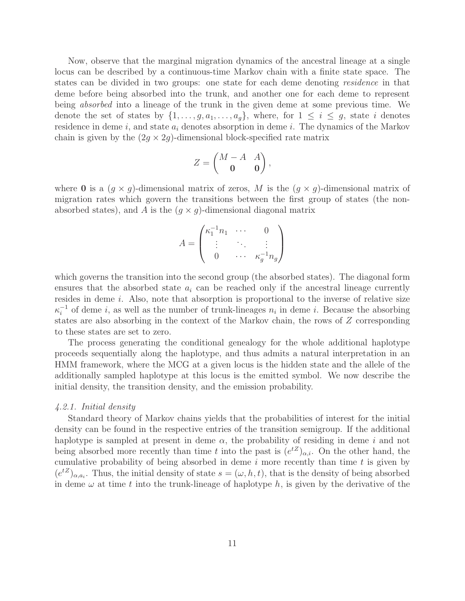Now, observe that the marginal migration dynamics of the ancestral lineage at a single locus can be described by a continuous-time Markov chain with a finite state space. The states can be divided in two groups: one state for each deme denoting residence in that deme before being absorbed into the trunk, and another one for each deme to represent being absorbed into a lineage of the trunk in the given deme at some previous time. We denote the set of states by  $\{1, \ldots, g, a_1, \ldots, a_g\}$ , where, for  $1 \leq i \leq g$ , state i denotes residence in deme i, and state  $a_i$  denotes absorption in deme i. The dynamics of the Markov chain is given by the  $(2g \times 2g)$ -dimensional block-specified rate matrix

$$
Z = \begin{pmatrix} M - A & A \\ \mathbf{0} & \mathbf{0} \end{pmatrix},
$$

where **0** is a  $(g \times g)$ -dimensional matrix of zeros, M is the  $(g \times g)$ -dimensional matrix of migration rates which govern the transitions between the first group of states (the nonabsorbed states), and A is the  $(q \times q)$ -dimensional diagonal matrix

$$
A = \begin{pmatrix} \kappa_1^{-1} n_1 & \cdots & 0 \\ \vdots & \ddots & \vdots \\ 0 & \cdots & \kappa_g^{-1} n_g \end{pmatrix}
$$

which governs the transition into the second group (the absorbed states). The diagonal form ensures that the absorbed state  $a_i$  can be reached only if the ancestral lineage currently resides in deme i. Also, note that absorption is proportional to the inverse of relative size  $\kappa_i^{-1}$  $i$ <sup>-1</sup> of deme *i*, as well as the number of trunk-lineages  $n_i$  in deme *i*. Because the absorbing states are also absorbing in the context of the Markov chain, the rows of Z corresponding to these states are set to zero.

The process generating the conditional genealogy for the whole additional haplotype proceeds sequentially along the haplotype, and thus admits a natural interpretation in an HMM framework, where the MCG at a given locus is the hidden state and the allele of the additionally sampled haplotype at this locus is the emitted symbol. We now describe the initial density, the transition density, and the emission probability.

#### 4.2.1. Initial density

Standard theory of Markov chains yields that the probabilities of interest for the initial density can be found in the respective entries of the transition semigroup. If the additional haplotype is sampled at present in deme  $\alpha$ , the probability of residing in deme i and not being absorbed more recently than time t into the past is  $(e^{tZ})_{\alpha,i}$ . On the other hand, the cumulative probability of being absorbed in deme  $i$  more recently than time  $t$  is given by  $(e^{tZ})_{\alpha,a_i}$ . Thus, the initial density of state  $s = (\omega, h, t)$ , that is the density of being absorbed in deme  $\omega$  at time t into the trunk-lineage of haplotype h, is given by the derivative of the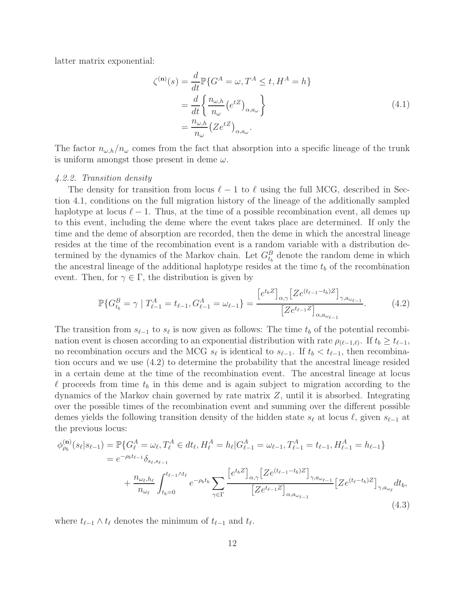latter matrix exponential:

$$
\zeta^{(\mathbf{n})}(s) = \frac{d}{dt} \mathbb{P} \{ G^A = \omega, T^A \le t, H^A = h \}
$$
  
= 
$$
\frac{d}{dt} \left\{ \frac{n_{\omega, h}}{n_{\omega}} (e^{tZ})_{\alpha, a_{\omega}} \right\}
$$
  
= 
$$
\frac{n_{\omega, h}}{n_{\omega}} (Ze^{tZ})_{\alpha, a_{\omega}}.
$$
 (4.1)

The factor  $n_{\omega,h}/n_{\omega}$  comes from the fact that absorption into a specific lineage of the trunk is uniform amongst those present in deme  $\omega$ .

#### 4.2.2. Transition density

The density for transition from locus  $\ell-1$  to  $\ell$  using the full MCG, described in Section 4.1, conditions on the full migration history of the lineage of the additionally sampled haplotype at locus  $\ell - 1$ . Thus, at the time of a possible recombination event, all demes up to this event, including the deme where the event takes place are determined. If only the time and the deme of absorption are recorded, then the deme in which the ancestral lineage resides at the time of the recombination event is a random variable with a distribution determined by the dynamics of the Markov chain. Let  $G_{t_b}^B$  denote the random deme in which the ancestral lineage of the additional haplotype resides at the time  $t<sub>b</sub>$  of the recombination event. Then, for  $\gamma \in \Gamma$ , the distribution is given by

$$
\mathbb{P}\{G_{t_b}^B = \gamma \mid T_{\ell-1}^A = t_{\ell-1}, G_{\ell-1}^A = \omega_{\ell-1}\} = \frac{\left[e^{t_b Z}\right]_{\alpha,\gamma} \left[Z e^{(t_{\ell-1}-t_b)Z}\right]_{\gamma,a_{\omega_{\ell-1}}}}{\left[Z e^{t_{\ell-1}Z}\right]_{\alpha,a_{\omega_{\ell-1}}}}.
$$
(4.2)

The transition from  $s_{\ell-1}$  to  $s_{\ell}$  is now given as follows: The time  $t_b$  of the potential recombination event is chosen according to an exponential distribution with rate  $\rho_{(\ell-1,\ell)}$ . If  $t_b \geq t_{\ell-1}$ , no recombination occurs and the MCG  $s_{\ell}$  is identical to  $s_{\ell-1}$ . If  $t_b < t_{\ell-1}$ , then recombination occurs and we use (4.2) to determine the probability that the ancestral lineage resided in a certain deme at the time of the recombination event. The ancestral lineage at locus  $\ell$  proceeds from time  $t_b$  in this deme and is again subject to migration according to the dynamics of the Markov chain governed by rate matrix  $Z$ , until it is absorbed. Integrating over the possible times of the recombination event and summing over the different possible demes yields the following transition density of the hidden state  $s_{\ell}$  at locus  $\ell$ , given  $s_{\ell-1}$  at the previous locus:

$$
\phi_{\rho_b}^{(\mathbf{n})}(s_{\ell}|s_{\ell-1}) = \mathbb{P}\{G_{\ell}^A = \omega_{\ell}, T_{\ell}^A \in dt_{\ell}, H_{\ell}^A = h_{\ell}|G_{\ell-1}^A = \omega_{\ell-1}, T_{\ell-1}^A = t_{\ell-1}, H_{\ell-1}^A = h_{\ell-1}\}\
$$
\n
$$
= e^{-\rho_b t_{\ell-1}} \delta_{s_{\ell}, s_{\ell-1}} + \frac{n_{\omega_{\ell}, h_{\ell}}}{n_{\omega_{\ell}}} \int_{t_b=0}^{t_{\ell-1} \wedge t_{\ell}} e^{-\rho_b t_b} \sum_{\gamma \in \Gamma} \frac{\left[e^{t_b Z}\right]_{\alpha, \gamma} \left[Ze^{(t_{\ell-1}-t_b) Z}\right]_{\gamma, a_{\omega_{\ell-1}}}}{\left[Ze^{t_{\ell-1} Z}\right]_{\alpha, a_{\omega_{\ell-1}}}} \left[Ze^{(t_{\ell}-t_b) Z}\right]_{\gamma, a_{\omega_{\ell}}} dt_b,
$$
\n(4.3)

where  $t_{\ell-1} \wedge t_{\ell}$  denotes the minimum of  $t_{\ell-1}$  and  $t_{\ell}$ .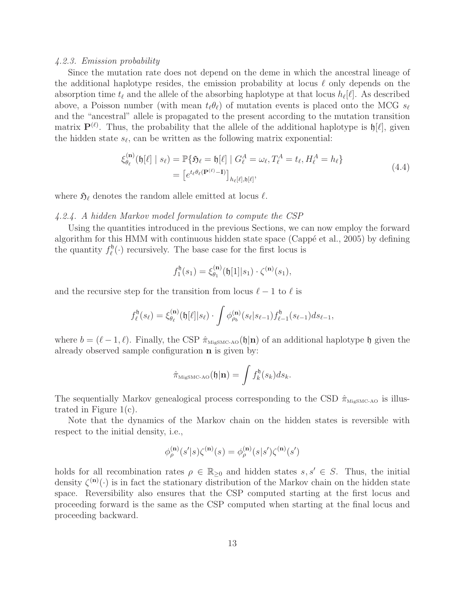#### 4.2.3. Emission probability

Since the mutation rate does not depend on the deme in which the ancestral lineage of the additional haplotype resides, the emission probability at locus  $\ell$  only depends on the absorption time  $t_{\ell}$  and the allele of the absorbing haplotype at that locus  $h_{\ell}[\ell]$ . As described above, a Poisson number (with mean  $t_{\ell}\theta_{\ell}$ ) of mutation events is placed onto the MCG  $s_{\ell}$ and the "ancestral" allele is propagated to the present according to the mutation transition matrix  $\mathbf{P}^{(\ell)}$ . Thus, the probability that the allele of the additional haplotype is  $\mathfrak{h}[\ell]$ , given the hidden state  $s_{\ell}$ , can be written as the following matrix exponential:

$$
\xi_{\theta_{\ell}}^{(\mathbf{n})}(\mathfrak{h}[\ell] \mid s_{\ell}) = \mathbb{P}\{\mathfrak{H}_{\ell} = \mathfrak{h}[\ell] \mid G_{\ell}^{A} = \omega_{\ell}, T_{\ell}^{A} = t_{\ell}, H_{\ell}^{A} = h_{\ell}\}
$$
\n
$$
= \left[e^{t_{\ell}\theta_{\ell}(\mathbf{P}^{(\ell)} - \mathbf{I})}\right]_{h_{\ell}[\ell], \mathfrak{h}[\ell]},\tag{4.4}
$$

where  $\mathfrak{H}_{\ell}$  denotes the random allele emitted at locus  $\ell$ .

# 4.2.4. A hidden Markov model formulation to compute the CSP

Using the quantities introduced in the previous Sections, we can now employ the forward algorithm for this HMM with continuous hidden state space (Cappé et al., 2005) by defining the quantity  $f_{\ell}^{\mathfrak{h}}$  $\mathcal{L}_{\ell}^{0}(\cdot)$  recursively. The base case for the first locus is

$$
f_1^{\mathfrak{h}}(s_1) = \xi_{\theta_1}^{(\mathbf{n})}(\mathfrak{h}[1]|s_1) \cdot \zeta^{(\mathbf{n})}(s_1),
$$

and the recursive step for the transition from locus  $\ell - 1$  to  $\ell$  is

$$
f_{\ell}^{\mathfrak{h}}(s_{\ell}) = \xi_{\theta_{\ell}}^{(\mathbf{n})}(\mathfrak{h}[\ell]|s_{\ell}) \cdot \int \phi_{\rho_{b}}^{(\mathbf{n})}(s_{\ell}|s_{\ell-1}) f_{\ell-1}^{\mathfrak{h}}(s_{\ell-1}) ds_{\ell-1},
$$

where  $b = (\ell - 1, \ell)$ . Finally, the CSP  $\hat{\pi}_{\text{MigSMC-AO}}(\mathfrak{h}|\mathbf{n})$  of an additional haplotype  $\mathfrak{h}$  given the already observed sample configuration n is given by:

$$
\hat{\pi}_{\text{MigSMC-AO}}(\mathfrak{h}|\mathbf{n}) = \int f_k^{\mathfrak{h}}(s_k) ds_k.
$$

The sequentially Markov genealogical process corresponding to the CSD  $\hat{\pi}_{\text{MigSMC-AO}}$  is illustrated in Figure 1(c).

Note that the dynamics of the Markov chain on the hidden states is reversible with respect to the initial density, i.e.,

$$
\phi_{\rho}^{({\bf n})}(s'|s)\zeta^{({\bf n})}(s)=\phi_{\rho}^{({\bf n})}(s|s')\zeta^{({\bf n})}(s')
$$

holds for all recombination rates  $\rho \in \mathbb{R}_{\geq 0}$  and hidden states  $s, s' \in S$ . Thus, the initial density  $\zeta^{(n)}(\cdot)$  is in fact the stationary distribution of the Markov chain on the hidden state space. Reversibility also ensures that the CSP computed starting at the first locus and proceeding forward is the same as the CSP computed when starting at the final locus and proceeding backward.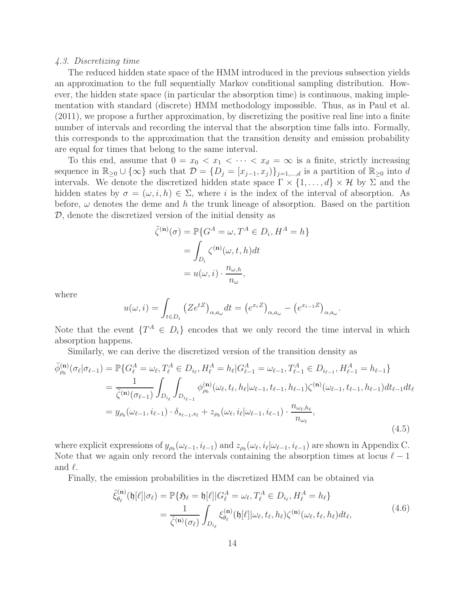#### 4.3. Discretizing time

The reduced hidden state space of the HMM introduced in the previous subsection yields an approximation to the full sequentially Markov conditional sampling distribution. However, the hidden state space (in particular the absorption time) is continuous, making implementation with standard (discrete) HMM methodology impossible. Thus, as in Paul et al. (2011), we propose a further approximation, by discretizing the positive real line into a finite number of intervals and recording the interval that the absorption time falls into. Formally, this corresponds to the approximation that the transition density and emission probability are equal for times that belong to the same interval.

To this end, assume that  $0 = x_0 < x_1 < \cdots < x_d = \infty$  is a finite, strictly increasing sequence in  $\mathbb{R}_{\geq 0} \cup \{\infty\}$  such that  $\mathcal{D} = \{D_j = [x_{j-1}, x_j]\}_{j=1,\dots,d}$  is a partition of  $\mathbb{R}_{\geq 0}$  into d intervals. We denote the discretized hidden state space  $\Gamma \times \{1, \ldots, d\} \times \mathcal{H}$  by  $\Sigma$  and the hidden states by  $\sigma = (\omega, i, h) \in \Sigma$ , where i is the index of the interval of absorption. As before,  $\omega$  denotes the deme and h the trunk lineage of absorption. Based on the partition  $D$ , denote the discretized version of the initial density as

$$
\tilde{\zeta}^{(\mathbf{n})}(\sigma) = \mathbb{P}\{G^A = \omega, T^A \in D_i, H^A = h\}
$$

$$
= \int_{D_i} \zeta^{(\mathbf{n})}(\omega, t, h) dt
$$

$$
= u(\omega, i) \cdot \frac{n_{\omega, h}}{n_{\omega}},
$$

where

$$
u(\omega, i) = \int_{t \in D_i} (Ze^{tZ})_{\alpha, a_{\omega}} dt = (e^{x_i Z})_{\alpha, a_{\omega}} - (e^{x_{i-1} Z})_{\alpha, a_{\omega}}
$$

.

Note that the event  $\{T^A \in D_i\}$  encodes that we only record the time interval in which absorption happens.

Similarly, we can derive the discretized version of the transition density as

$$
\tilde{\phi}_{\rho_b}^{(\mathbf{n})}(\sigma_{\ell}|\sigma_{\ell-1}) = \mathbb{P}\{G_{\ell}^A = \omega_{\ell}, T_{\ell}^A \in D_{i_{\ell}}, H_{\ell}^A = h_{\ell}|G_{\ell-1}^A = \omega_{\ell-1}, T_{\ell-1}^A \in D_{i_{\ell-1}}, H_{\ell-1}^A = h_{\ell-1}\}
$$
\n
$$
= \frac{1}{\tilde{\zeta}^{(\mathbf{n})}(\sigma_{\ell-1})} \int_{D_{i_{\ell}}} \int_{D_{i_{\ell-1}}} \phi_{\rho_b}^{(\mathbf{n})}(\omega_{\ell}, t_{\ell}, h_{\ell}|\omega_{\ell-1}, t_{\ell-1}, h_{\ell-1})\zeta^{(\mathbf{n})}(\omega_{\ell-1}, t_{\ell-1}, h_{\ell-1}) dt_{\ell-1} dt_{\ell}
$$
\n
$$
= y_{\rho_b}(\omega_{\ell-1}, i_{\ell-1}) \cdot \delta_{s_{\ell-1}, s_{\ell}} + z_{\rho_b}(\omega_{\ell}, i_{\ell}|\omega_{\ell-1}, i_{\ell-1}) \cdot \frac{n_{\omega_{\ell}, h_{\ell}}}{n_{\omega_{\ell}}},
$$
\n(4.5)

where explicit expressions of  $y_{\rho_b}(\omega_{\ell-1}, i_{\ell-1})$  and  $z_{\rho_b}(\omega_{\ell}, i_{\ell}|\omega_{\ell-1}, i_{\ell-1})$  are shown in Appendix C. Note that we again only record the intervals containing the absorption times at locus  $\ell - 1$ and  $\ell$ .

Finally, the emission probabilities in the discretized HMM can be obtained via

$$
\tilde{\xi}_{\theta_{\ell}}^{(\mathbf{n})}(\mathfrak{h}[\ell]|\sigma_{\ell}) = \mathbb{P}\{\mathfrak{H}_{\ell} = \mathfrak{h}[\ell]|G_{\ell}^{A} = \omega_{\ell}, T_{\ell}^{A} \in D_{i_{\ell}}, H_{\ell}^{A} = h_{\ell}\}\
$$
\n
$$
= \frac{1}{\tilde{\zeta}^{(\mathbf{n})}(\sigma_{\ell})} \int_{D_{i_{\ell}}} \xi_{\theta_{\ell}}^{(\mathbf{n})}(\mathfrak{h}[\ell]|\omega_{\ell}, t_{\ell}, h_{\ell})\zeta^{(\mathbf{n})}(\omega_{\ell}, t_{\ell}, h_{\ell})dt_{\ell},
$$
\n
$$
(4.6)
$$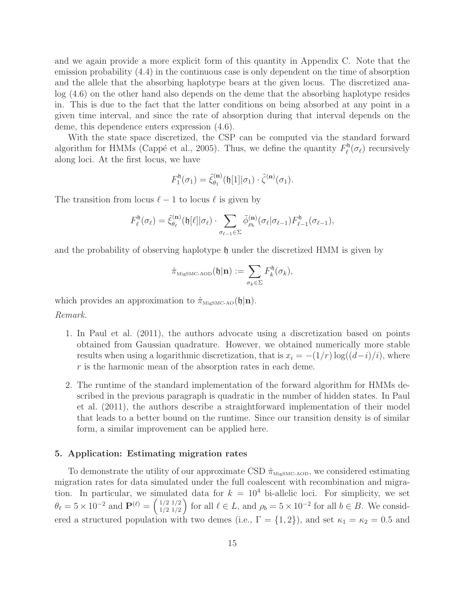and we again provide a more explicit form of this quantity in Appendix C. Note that the emission probability (4.4) in the continuous case is only dependent on the time of absorption and the allele that the absorbing haplotype bears at the given locus. The discretized analog (4.6) on the other hand also depends on the deme that the absorbing haplotype resides in. This is due to the fact that the latter conditions on being absorbed at any point in a given time interval, and since the rate of absorption during that interval depends on the deme, this dependence enters expression (4.6).

With the state space discretized, the CSP can be computed via the standard forward algorithm for HMMs (Cappé et al., 2005). Thus, we define the quantity  $F_{\ell}^{\mathfrak{h}}$  $\ell^0(\sigma_{\ell})$  recursively along loci. At the first locus, we have

$$
F_1^{\mathfrak{h}}(\sigma_1) = \tilde{\xi}_{\theta_1}^{(\mathbf{n})}(\mathfrak{h}[1]|\sigma_1) \cdot \tilde{\zeta}^{(\mathbf{n})}(\sigma_1).
$$

The transition from locus  $\ell - 1$  to locus  $\ell$  is given by

$$
F_{\ell}^{\mathfrak{h}}(\sigma_{\ell}) = \tilde{\xi}_{\theta_{\ell}}^{(\mathbf{n})}(\mathfrak{h}[\ell]|\sigma_{\ell}) \cdot \sum_{\sigma_{\ell-1}\in\Sigma} \tilde{\phi}_{\rho_{b}}^{(\mathbf{n})}(\sigma_{\ell}|\sigma_{\ell-1}) F_{\ell-1}^{\mathfrak{h}}(\sigma_{\ell-1}),
$$

and the probability of observing haplotype h under the discretized HMM is given by

$$
\hat{\pi}_{\text{MigSMC-AOD}}(\mathfrak{h}|\mathbf{n}) := \sum_{\sigma_k \in \Sigma} F_k^{\mathfrak{h}}(\sigma_k),
$$

which provides an approximation to  $\hat{\pi}_{\text{MigSMC-AO}}(\mathfrak{h}|\mathbf{n}).$ Remark.

- 1. In Paul et al. (2011), the authors advocate using a discretization based on points obtained from Gaussian quadrature. However, we obtained numerically more stable results when using a logarithmic discretization, that is  $x_i = -(1/r) \log((d-i)/i)$ , where r is the harmonic mean of the absorption rates in each deme.
- 2. The runtime of the standard implementation of the forward algorithm for HMMs described in the previous paragraph is quadratic in the number of hidden states. In Paul et al. (2011), the authors describe a straightforward implementation of their model that leads to a better bound on the runtime. Since our transition density is of similar form, a similar improvement can be applied here.

#### 5. Application: Estimating migration rates

To demonstrate the utility of our approximate CSD  $\hat{\pi}_{\text{MiggsMC-ADD}}$ , we considered estimating migration rates for data simulated under the full coalescent with recombination and migration. In particular, we simulated data for  $k = 10^4$  bi-allelic loci. For simplicity, we set  $\theta_{\ell} = 5 \times 10^{-2}$  and  $\mathbf{P}^{(\ell)} = \begin{pmatrix} 1/2 & 1/2 \\ 1/2 & 1/2 \end{pmatrix}$  $\binom{1}{2} \binom{1}{2}$  for all  $\ell \in L$ , and  $\rho_b = 5 \times 10^{-2}$  for all  $b \in B$ . We considered a structured population with two demes (i.e.,  $\Gamma = \{1, 2\}$ ), and set  $\kappa_1 = \kappa_2 = 0.5$  and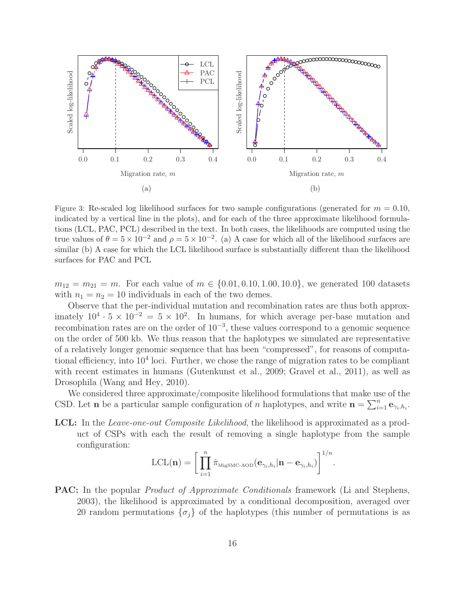

Figure 3: Re-scaled log likelihood surfaces for two sample configurations (generated for  $m = 0.10$ , indicated by a vertical line in the plots), and for each of the three approximate likelihood formulations (LCL, PAC, PCL) described in the text. In both cases, the likelihoods are computed using the true values of  $\theta = 5 \times 10^{-2}$  and  $\rho = 5 \times 10^{-2}$ . (a) A case for which all of the likelihood surfaces are similar (b) A case for which the LCL likelihood surface is substantially different than the likelihood surfaces for PAC and PCL

 $m_{12} = m_{21} = m$ . For each value of  $m \in \{0.01, 0.10, 1.00, 10.0\}$ , we generated 100 datasets with  $n_1 = n_2 = 10$  individuals in each of the two demes.

Observe that the per-individual mutation and recombination rates are thus both approximately  $10^4 \cdot 5 \times 10^{-2} = 5 \times 10^2$ . In humans, for which average per-base mutation and recombination rates are on the order of  $10^{-3}$ , these values correspond to a genomic sequence on the order of 500 kb. We thus reason that the haplotypes we simulated are representative of a relatively longer genomic sequence that has been "compressed", for reasons of computational efficiency, into  $10^4$  loci. Further, we chose the range of migration rates to be compliant with recent estimates in humans (Gutenkunst et al., 2009; Gravel et al., 2011), as well as Drosophila (Wang and Hey, 2010).

We considered three approximate/composite likelihood formulations that make use of the CSD. Let **n** be a particular sample configuration of *n* haplotypes, and write  $\mathbf{n} = \sum_{i=1}^{n} \mathbf{e}_{\gamma_i, h_i}$ .

LCL: In the *Leave-one-out Composite Likelihood*, the likelihood is approximated as a product of CSPs with each the result of removing a single haplotype from the sample configuration:

$$
\text{LCL}(\mathbf{n}) = \bigg[ \prod_{i=1}^{n} \hat{\pi}_{\text{MigSMC-AOD}}(\mathbf{e}_{\gamma_i,h_i}|\mathbf{n}-\mathbf{e}_{\gamma_i,h_i}) \bigg]^{1/n}.
$$

**PAC:** In the popular *Product of Approximate Conditionals* framework (Li and Stephens, 2003), the likelihood is approximated by a conditional decomposition, averaged over 20 random permutations  $\{\sigma_j\}$  of the haplotypes (this number of permutations is as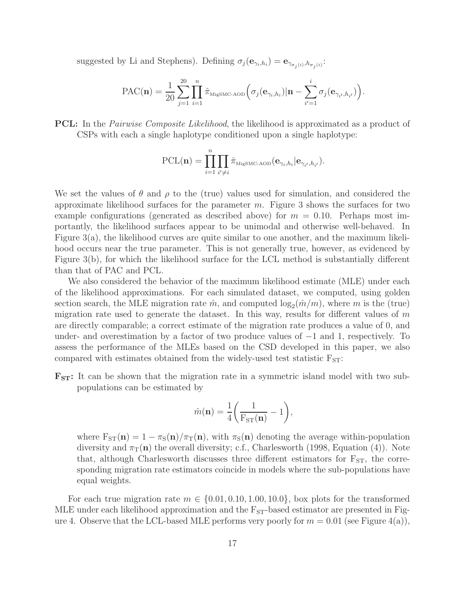suggested by Li and Stephens). Defining  $\sigma_j(\mathbf{e}_{\gamma_i,h_i}) = \mathbf{e}_{\gamma_{\sigma_j(i)},h_{\sigma_j(i)}}$ :

$$
\text{PAC}(\mathbf{n}) = \frac{1}{20} \sum_{j=1}^{20} \prod_{i=1}^{n} \hat{\pi}_{\text{MigSMC-ADD}} \left( \sigma_j(\mathbf{e}_{\gamma_i, h_i}) | \mathbf{n} - \sum_{i'=1}^{i} \sigma_j(\mathbf{e}_{\gamma_{i'}, h_{i'}}) \right).
$$

**PCL:** In the *Pairwise Composite Likelihood*, the likelihood is approximated as a product of CSPs with each a single haplotype conditioned upon a single haplotype:

$$
\text{PCL}(\mathbf{n}) = \prod_{i=1}^{n} \prod_{i' \neq i} \hat{\pi}_{\text{MigSMC-ADD}}(\mathbf{e}_{\gamma_i, h_i} | \mathbf{e}_{\gamma_{i'}, h_{i'}}).
$$

We set the values of  $\theta$  and  $\rho$  to the (true) values used for simulation, and considered the approximate likelihood surfaces for the parameter  $m$ . Figure 3 shows the surfaces for two example configurations (generated as described above) for  $m = 0.10$ . Perhaps most importantly, the likelihood surfaces appear to be unimodal and otherwise well-behaved. In Figure 3(a), the likelihood curves are quite similar to one another, and the maximum likelihood occurs near the true parameter. This is not generally true, however, as evidenced by Figure 3(b), for which the likelihood surface for the LCL method is substantially different than that of PAC and PCL.

We also considered the behavior of the maximum likelihood estimate (MLE) under each of the likelihood approximations. For each simulated dataset, we computed, using golden section search, the MLE migration rate  $\hat{m}$ , and computed  $\log_2(\hat{m}/m)$ , where m is the (true) migration rate used to generate the dataset. In this way, results for different values of  $m$ are directly comparable; a correct estimate of the migration rate produces a value of 0, and under- and overestimation by a factor of two produce values of  $-1$  and 1, respectively. To assess the performance of the MLEs based on the CSD developed in this paper, we also compared with estimates obtained from the widely-used test statistic  $F_{ST}$ :

 $\mathbf{F}_{ST}$ : It can be shown that the migration rate in a symmetric island model with two subpopulations can be estimated by

$$
\hat{m}(\mathbf{n}) = \frac{1}{4} \left( \frac{1}{F_{ST}(\mathbf{n})} - 1 \right),
$$

where  $F_{ST}(n) = 1 - \pi_S(n)/\pi_T(n)$ , with  $\pi_S(n)$  denoting the average within-population diversity and  $\pi_{\rm T}({\bf n})$  the overall diversity; c.f., Charlesworth (1998, Equation (4)). Note that, although Charlesworth discusses three different estimators for  $F_{ST}$ , the corresponding migration rate estimators coincide in models where the sub-populations have equal weights.

For each true migration rate  $m \in \{0.01, 0.10, 1.00, 10.0\}$ , box plots for the transformed MLE under each likelihood approximation and the  $F_{ST}$ -based estimator are presented in Figure 4. Observe that the LCL-based MLE performs very poorly for  $m = 0.01$  (see Figure 4(a)),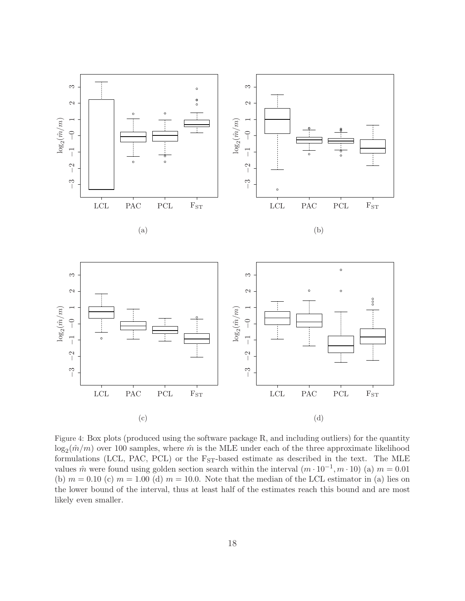

Figure 4: Box plots (produced using the software package R, and including outliers) for the quantity  $\log_2(\hat{m}/m)$  over 100 samples, where  $\hat{m}$  is the MLE under each of the three approximate likelihood formulations (LCL, PAC, PCL) or the  $F<sub>ST</sub>$ -based estimate as described in the text. The MLE values  $\hat{m}$  were found using golden section search within the interval  $(m \cdot 10^{-1}, m \cdot 10)$  (a)  $m = 0.01$ (b)  $m = 0.10$  (c)  $m = 1.00$  (d)  $m = 10.0$ . Note that the median of the LCL estimator in (a) lies on the lower bound of the interval, thus at least half of the estimates reach this bound and are most likely even smaller.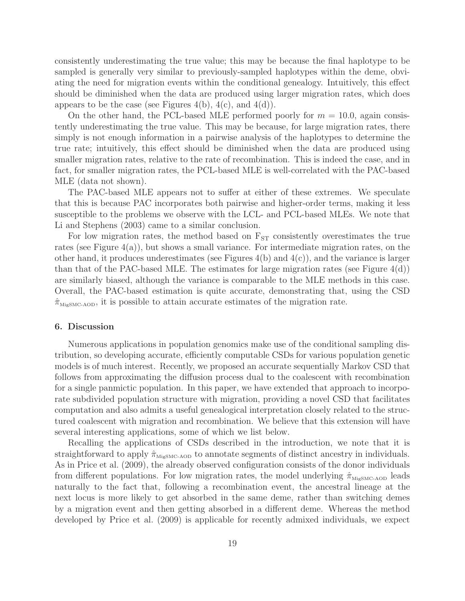consistently underestimating the true value; this may be because the final haplotype to be sampled is generally very similar to previously-sampled haplotypes within the deme, obviating the need for migration events within the conditional genealogy. Intuitively, this effect should be diminished when the data are produced using larger migration rates, which does appears to be the case (see Figures 4(b),  $4(c)$ , and  $4(d)$ ).

On the other hand, the PCL-based MLE performed poorly for  $m = 10.0$ , again consistently underestimating the true value. This may be because, for large migration rates, there simply is not enough information in a pairwise analysis of the haplotypes to determine the true rate; intuitively, this effect should be diminished when the data are produced using smaller migration rates, relative to the rate of recombination. This is indeed the case, and in fact, for smaller migration rates, the PCL-based MLE is well-correlated with the PAC-based MLE (data not shown).

The PAC-based MLE appears not to suffer at either of these extremes. We speculate that this is because PAC incorporates both pairwise and higher-order terms, making it less susceptible to the problems we observe with the LCL- and PCL-based MLEs. We note that Li and Stephens (2003) came to a similar conclusion.

For low migration rates, the method based on  $F_{ST}$  consistently overestimates the true rates (see Figure  $4(a)$ ), but shows a small variance. For intermediate migration rates, on the other hand, it produces underestimates (see Figures  $4(b)$  and  $4(c)$ ), and the variance is larger than that of the PAC-based MLE. The estimates for large migration rates (see Figure  $4(d)$ ) are similarly biased, although the variance is comparable to the MLE methods in this case. Overall, the PAC-based estimation is quite accurate, demonstrating that, using the CSD  $\hat{\pi}_{\text{MiesMC-ADD}}$ , it is possible to attain accurate estimates of the migration rate.

#### 6. Discussion

Numerous applications in population genomics make use of the conditional sampling distribution, so developing accurate, efficiently computable CSDs for various population genetic models is of much interest. Recently, we proposed an accurate sequentially Markov CSD that follows from approximating the diffusion process dual to the coalescent with recombination for a single panmictic population. In this paper, we have extended that approach to incorporate subdivided population structure with migration, providing a novel CSD that facilitates computation and also admits a useful genealogical interpretation closely related to the structured coalescent with migration and recombination. We believe that this extension will have several interesting applications, some of which we list below.

Recalling the applications of CSDs described in the introduction, we note that it is straightforward to apply  $\hat{\pi}_{\text{MigSMC- AOD}}$  to annotate segments of distinct ancestry in individuals. As in Price et al. (2009), the already observed configuration consists of the donor individuals from different populations. For low migration rates, the model underlying  $\hat{\pi}_{\text{MigSMC- AOD}}$  leads naturally to the fact that, following a recombination event, the ancestral lineage at the next locus is more likely to get absorbed in the same deme, rather than switching demes by a migration event and then getting absorbed in a different deme. Whereas the method developed by Price et al. (2009) is applicable for recently admixed individuals, we expect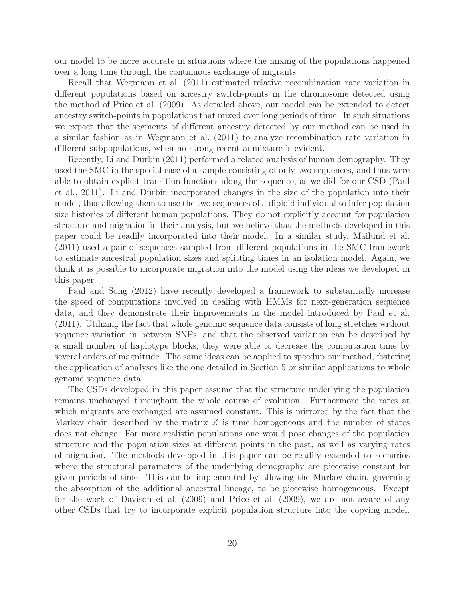our model to be more accurate in situations where the mixing of the populations happened over a long time through the continuous exchange of migrants.

Recall that Wegmann et al. (2011) estimated relative recombination rate variation in different populations based on ancestry switch-points in the chromosome detected using the method of Price et al. (2009). As detailed above, our model can be extended to detect ancestry switch-points in populations that mixed over long periods of time. In such situations we expect that the segments of different ancestry detected by our method can be used in a similar fashion as in Wegmann et al. (2011) to analyze recombination rate variation in different subpopulations, when no strong recent admixture is evident.

Recently, Li and Durbin (2011) performed a related analysis of human demography. They used the SMC in the special case of a sample consisting of only two sequences, and thus were able to obtain explicit transition functions along the sequence, as we did for our CSD (Paul et al., 2011). Li and Durbin incorporated changes in the size of the population into their model, thus allowing them to use the two sequences of a diploid individual to infer population size histories of different human populations. They do not explicitly account for population structure and migration in their analysis, but we believe that the methods developed in this paper could be readily incorporated into their model. In a similar study, Mailund et al. (2011) used a pair of sequences sampled from different populations in the SMC framework to estimate ancestral population sizes and splitting times in an isolation model. Again, we think it is possible to incorporate migration into the model using the ideas we developed in this paper.

Paul and Song (2012) have recently developed a framework to substantially increase the speed of computations involved in dealing with HMMs for next-generation sequence data, and they demonstrate their improvements in the model introduced by Paul et al. (2011). Utilizing the fact that whole genomic sequence data consists of long stretches without sequence variation in between SNPs, and that the observed variation can be described by a small number of haplotype blocks, they were able to decrease the computation time by several orders of magnitude. The same ideas can be applied to speedup our method, fostering the application of analyses like the one detailed in Section 5 or similar applications to whole genome sequence data.

The CSDs developed in this paper assume that the structure underlying the population remains unchanged throughout the whole course of evolution. Furthermore the rates at which migrants are exchanged are assumed constant. This is mirrored by the fact that the Markov chain described by the matrix  $Z$  is time homogeneous and the number of states does not change. For more realistic populations one would pose changes of the population structure and the population sizes at different points in the past, as well as varying rates of migration. The methods developed in this paper can be readily extended to scenarios where the structural parameters of the underlying demography are piecewise constant for given periods of time. This can be implemented by allowing the Markov chain, governing the absorption of the additional ancestral lineage, to be piecewise homogeneous. Except for the work of Davison et al. (2009) and Price et al. (2009), we are not aware of any other CSDs that try to incorporate explicit population structure into the copying model.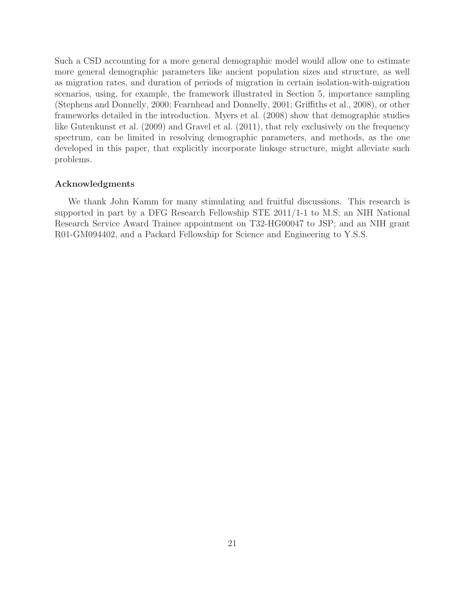Such a CSD accounting for a more general demographic model would allow one to estimate more general demographic parameters like ancient population sizes and structure, as well as migration rates, and duration of periods of migration in certain isolation-with-migration scenarios, using, for example, the framework illustrated in Section 5, importance sampling (Stephens and Donnelly, 2000; Fearnhead and Donnelly, 2001; Griffiths et al., 2008), or other frameworks detailed in the introduction. Myers et al. (2008) show that demographic studies like Gutenkunst et al. (2009) and Gravel et al. (2011), that rely exclusively on the frequency spectrum, can be limited in resolving demographic parameters, and methods, as the one developed in this paper, that explicitly incorporate linkage structure, might alleviate such problems.

#### Acknowledgments

We thank John Kamm for many stimulating and fruitful discussions. This research is supported in part by a DFG Research Fellowship STE 2011/1-1 to M.S; an NIH National Research Service Award Trainee appointment on T32-HG00047 to JSP; and an NIH grant R01-GM094402, and a Packard Fellowship for Science and Engineering to Y.S.S.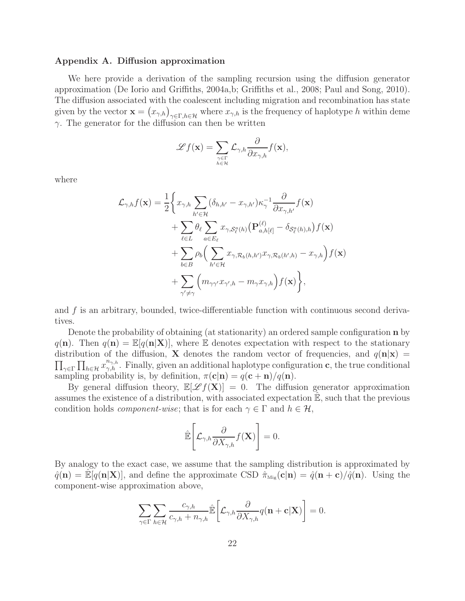#### Appendix A. Diffusion approximation

We here provide a derivation of the sampling recursion using the diffusion generator approximation (De Iorio and Griffiths, 2004a,b; Griffiths et al., 2008; Paul and Song, 2010). The diffusion associated with the coalescent including migration and recombination has state given by the vector  $\mathbf{x} = (x_{\gamma,h})_{\gamma \in \Gamma, h \in \mathcal{H}}$  where  $x_{\gamma,h}$  is the frequency of haplotype h within deme  $\gamma$ . The generator for the diffusion can then be written

$$
\mathscr{L}f(\mathbf{x}) = \sum_{\gamma \in \Gamma \atop h \in \mathcal{H}} \mathcal{L}_{\gamma,h} \frac{\partial}{\partial x_{\gamma,h}} f(\mathbf{x}),
$$

where

$$
\mathcal{L}_{\gamma,h}f(\mathbf{x}) = \frac{1}{2} \Biggl\{ x_{\gamma,h} \sum_{h' \in \mathcal{H}} (\delta_{h,h'} - x_{\gamma,h'}) \kappa_{\gamma}^{-1} \frac{\partial}{\partial x_{\gamma,h'}} f(\mathbf{x}) \n+ \sum_{\ell \in L} \theta_{\ell} \sum_{a \in E_{\ell}} x_{\gamma, \mathcal{S}_{\ell}^{a}(h)} \bigl( \mathbf{P}_{a,h[\ell]}^{(\ell)} - \delta_{\mathcal{S}_{\ell}^{a}(h),h} \bigr) f(\mathbf{x}) \n+ \sum_{b \in B} \rho_{b} \Bigl( \sum_{h' \in \mathcal{H}} x_{\gamma, \mathcal{R}_{b}(h,h')} x_{\gamma, \mathcal{R}_{b}(h',h)} - x_{\gamma,h} \Bigr) f(\mathbf{x}) \n+ \sum_{\gamma' \neq \gamma} \Bigl( m_{\gamma\gamma'} x_{\gamma',h} - m_{\gamma} x_{\gamma,h} \Bigr) f(\mathbf{x}) \Biggr\},
$$

and f is an arbitrary, bounded, twice-differentiable function with continuous second derivatives.

Denote the probability of obtaining (at stationarity) an ordered sample configuration **n** by  $q(n)$ . Then  $q(n) = \mathbb{E}[q(n|\mathbf{X})]$ , where E denotes expectation with respect to the stationary distribution of the diffusion, **X** denotes the random vector of frequencies, and  $q(\mathbf{n}|\mathbf{x}) =$  $\prod_{\gamma \in \Gamma} \prod_{h \in \mathcal{H}} x_{\gamma,h}^{n_{\gamma,h}}$ . Finally, given an additional haplotype configuration c, the true conditional sampling probability is, by definition,  $\pi(c|n) = q(c+n)/q(n)$ .

By general diffusion theory,  $\mathbb{E}[\mathscr{L}f(\mathbf{X})] = 0$ . The diffusion generator approximation assumes the existence of a distribution, with associated expectation  $\mathbb{E}$ , such that the previous condition holds *component-wise*; that is for each  $\gamma \in \Gamma$  and  $h \in \mathcal{H}$ ,

$$
\hat{\mathbb{E}}\left[\mathcal{L}_{\gamma,h}\frac{\partial}{\partial X_{\gamma,h}}f(\mathbf{X})\right]=0.
$$

By analogy to the exact case, we assume that the sampling distribution is approximated by  $\hat{q}(\mathbf{n}) = \mathbb{E}[q(\mathbf{n}|\mathbf{X})],$  and define the approximate CSD  $\hat{\pi}_{\text{Mig}}(\mathbf{c}|\mathbf{n}) = \hat{q}(\mathbf{n}+\mathbf{c})/\hat{q}(\mathbf{n}).$  Using the component-wise approximation above,

$$
\sum_{\gamma \in \Gamma} \sum_{h \in \mathcal{H}} \frac{c_{\gamma,h}}{c_{\gamma,h} + n_{\gamma,h}} \hat{\mathbb{E}} \bigg[ \mathcal{L}_{\gamma,h} \frac{\partial}{\partial X_{\gamma,h}} q(\mathbf{n} + \mathbf{c} | \mathbf{X}) \bigg] = 0.
$$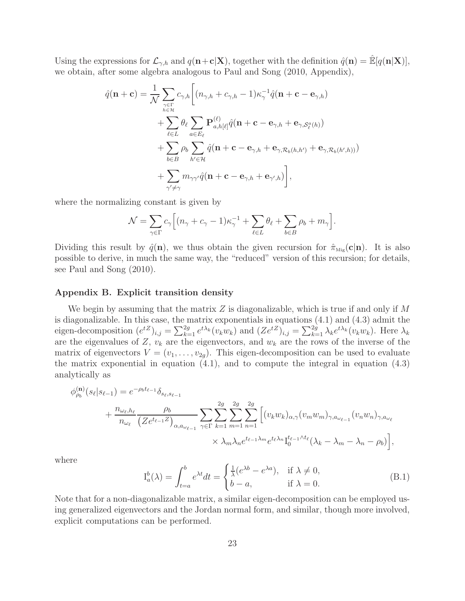Using the expressions for  $\mathcal{L}_{\gamma,h}$  and  $q(\mathbf{n}+\mathbf{c}|\mathbf{X})$ , together with the definition  $\hat{q}(\mathbf{n}) = \mathbb{E}[q(\mathbf{n}|\mathbf{X})],$ we obtain, after some algebra analogous to Paul and Song (2010, Appendix),

$$
\hat{q}(\mathbf{n} + \mathbf{c}) = \frac{1}{\mathcal{N}} \sum_{\substack{\gamma \in \Gamma \\ h \in \mathcal{H}}} c_{\gamma,h} \bigg[ (n_{\gamma,h} + c_{\gamma,h} - 1) \kappa_{\gamma}^{-1} \hat{q}(\mathbf{n} + \mathbf{c} - \mathbf{e}_{\gamma,h}) \n+ \sum_{\ell \in L} \theta_{\ell} \sum_{a \in E_{\ell}} \mathbf{P}_{a,h[\ell]}^{(\ell)} \hat{q}(\mathbf{n} + \mathbf{c} - \mathbf{e}_{\gamma,h} + \mathbf{e}_{\gamma,\mathcal{S}_{\ell}^{a}(h)}) \n+ \sum_{b \in B} \rho_{b} \sum_{h' \in \mathcal{H}} \hat{q}(\mathbf{n} + \mathbf{c} - \mathbf{e}_{\gamma,h} + \mathbf{e}_{\gamma,\mathcal{R}_{b}(h,h')} + \mathbf{e}_{\gamma,\mathcal{R}_{b}(h',h))}) \n+ \sum_{\gamma' \neq \gamma} m_{\gamma\gamma'} \hat{q}(\mathbf{n} + \mathbf{c} - \mathbf{e}_{\gamma,h} + \mathbf{e}_{\gamma',h}) \bigg],
$$

where the normalizing constant is given by

$$
\mathcal{N} = \sum_{\gamma \in \Gamma} c_{\gamma} \Big[ (n_{\gamma} + c_{\gamma} - 1) \kappa_{\gamma}^{-1} + \sum_{\ell \in L} \theta_{\ell} + \sum_{b \in B} \rho_{b} + m_{\gamma} \Big].
$$

Dividing this result by  $\hat{q}(\mathbf{n})$ , we thus obtain the given recursion for  $\hat{\pi}_{\text{Mig}}(\mathbf{c}|\mathbf{n})$ . It is also possible to derive, in much the same way, the "reduced" version of this recursion; for details, see Paul and Song (2010).

## Appendix B. Explicit transition density

We begin by assuming that the matrix Z is diagonalizable, which is true if and only if  $M$ is diagonalizable. In this case, the matrix exponentials in equations (4.1) and (4.3) admit the eigen-decomposition  $(e^{tZ})_{i,j} = \sum_{k=1}^{2g} e^{t\lambda_k} (v_k w_k)$  and  $(Ze^{tZ})_{i,j} = \sum_{k=1}^{2g} \lambda_k e^{t\lambda_k} (v_k w_k)$ . Here  $\lambda_k$ are the eigenvalues of Z,  $v_k$  are the eigenvectors, and  $w_k$  are the rows of the inverse of the matrix of eigenvectors  $V = (v_1, \ldots, v_{2q})$ . This eigen-decomposition can be used to evaluate the matrix exponential in equation  $(4.1)$ , and to compute the integral in equation  $(4.3)$ analytically as

$$
\phi_{\rho_b}^{(\mathbf{n})}(s_{\ell}|s_{\ell-1}) = e^{-\rho_b t_{\ell-1}} \delta_{s_{\ell}, s_{\ell-1}} + \frac{n_{\omega_{\ell}, h_{\ell}}}{n_{\omega_{\ell}}} \frac{\rho_b}{\left(Z e^{t_{\ell-1} Z}\right)_{\alpha, a_{\omega_{\ell-1}}}} \sum_{\gamma \in \Gamma} \sum_{k=1}^{2g} \sum_{m=1}^{2g} \sum_{n=1}^{2g} \left[ (v_k w_k)_{\alpha, \gamma} (v_m w_m)_{\gamma, a_{\omega_{\ell-1}}} (v_n w_n)_{\gamma, a_{\omega_{\ell}}}\right] \times \lambda_m \lambda_n e^{t_{\ell-1} \lambda_m} e^{t_{\ell} \lambda_n} \mathcal{I}_0^{t_{\ell-1} \lambda t_{\ell}}(\lambda_k - \lambda_m - \lambda_n - \rho_b) \right],
$$

where

$$
I_a^b(\lambda) = \int_{t=a}^b e^{\lambda t} dt = \begin{cases} \frac{1}{\lambda} (e^{\lambda b} - e^{\lambda a}), & \text{if } \lambda \neq 0, \\ b - a, & \text{if } \lambda = 0. \end{cases}
$$
 (B.1)

Note that for a non-diagonalizable matrix, a similar eigen-decomposition can be employed using generalized eigenvectors and the Jordan normal form, and similar, though more involved, explicit computations can be performed.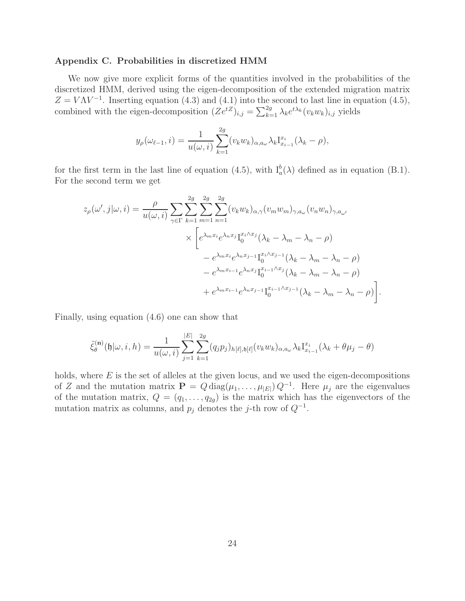#### Appendix C. Probabilities in discretized HMM

We now give more explicit forms of the quantities involved in the probabilities of the discretized HMM, derived using the eigen-decomposition of the extended migration matrix  $Z = V\Lambda V^{-1}$ . Inserting equation (4.3) and (4.1) into the second to last line in equation (4.5), combined with the eigen-decomposition  $(Ze^{tZ})_{i,j} = \sum_{k=1}^{2g} \lambda_k e^{t\lambda_k} (v_k w_k)_{i,j}$  yields

$$
y_{\rho}(\omega_{\ell-1},i) = \frac{1}{u(\omega,i)} \sum_{k=1}^{2g} (v_k w_k)_{\alpha,a_{\omega}} \lambda_k \mathbf{I}_{x_{i-1}}^{x_i}(\lambda_k - \rho),
$$

for the first term in the last line of equation (4.5), with  $I_a^b(\lambda)$  defined as in equation (B.1). For the second term we get

$$
z_{\rho}(\omega',j|\omega,i) = \frac{\rho}{u(\omega,i)} \sum_{\gamma \in \Gamma} \sum_{k=1}^{2g} \sum_{m=1}^{2g} \sum_{n=1}^{2g} (v_k w_k)_{\alpha,\gamma} (v_m w_m)_{\gamma,a_{\omega}} (v_n w_n)_{\gamma,a_{\omega'}}
$$

$$
\times \left[ e^{\lambda_m x_i} e^{\lambda_n x_j} \mathbf{I}_0^{x_i \wedge x_j} (\lambda_k - \lambda_m - \lambda_n - \rho) - e^{\lambda_m x_i} e^{\lambda_n x_{j-1}} \mathbf{I}_0^{x_i \wedge x_{j-1}} (\lambda_k - \lambda_m - \lambda_n - \rho) - e^{\lambda_m x_{i-1}} e^{\lambda_n x_j} \mathbf{I}_0^{x_{i-1} \wedge x_j} (\lambda_k - \lambda_m - \lambda_n - \rho) + e^{\lambda_m x_{i-1}} e^{\lambda_n x_{j-1}} \mathbf{I}_0^{x_{i-1} \wedge x_{j-1}} (\lambda_k - \lambda_m - \lambda_n - \rho) \right].
$$

Finally, using equation (4.6) one can show that

$$
\tilde{\xi}_{\theta}^{(\mathbf{n})}(\mathfrak{h}|\omega,i,h) = \frac{1}{u(\omega,i)} \sum_{j=1}^{|E|} \sum_{k=1}^{2g} (q_j p_j)_{h[\ell],\mathfrak{h}[\ell]}(v_k w_k)_{\alpha,a_{\omega}} \lambda_k \mathbf{I}_{x_{i-1}}^{x_i}(\lambda_k + \theta \mu_j - \theta)
$$

holds, where  $E$  is the set of alleles at the given locus, and we used the eigen-decompositions of Z and the mutation matrix  $\mathbf{P} = Q \text{diag}(\mu_1, \dots, \mu_{|E|}) Q^{-1}$ . Here  $\mu_j$  are the eigenvalues of the mutation matrix,  $Q = (q_1, \ldots, q_{2g})$  is the matrix which has the eigenvectors of the mutation matrix as columns, and  $p_j$  denotes the j-th row of  $Q^{-1}$ .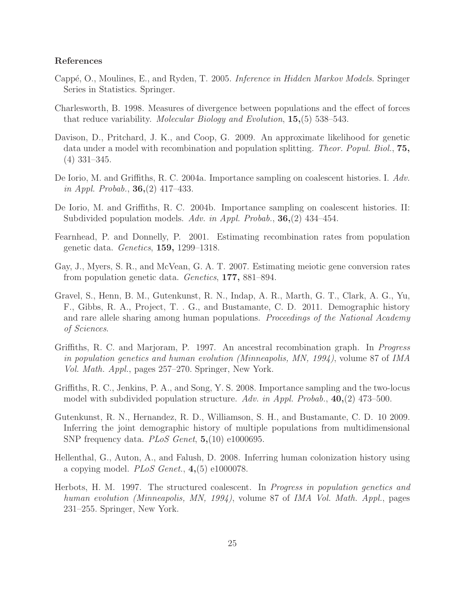## References

- Cappé, O., Moulines, E., and Ryden, T. 2005. *Inference in Hidden Markov Models*. Springer Series in Statistics. Springer.
- Charlesworth, B. 1998. Measures of divergence between populations and the effect of forces that reduce variability. Molecular Biology and Evolution, 15,(5) 538–543.
- Davison, D., Pritchard, J. K., and Coop, G. 2009. An approximate likelihood for genetic data under a model with recombination and population splitting. Theor. Popul. Biol., 75, (4) 331–345.
- De Iorio, M. and Griffiths, R. C. 2004a. Importance sampling on coalescent histories. I. Adv. in Appl. Probab.,  $36,(2)$  417–433.
- De Iorio, M. and Griffiths, R. C. 2004b. Importance sampling on coalescent histories. II: Subdivided population models. Adv. in Appl. Probab.,  $36,(2)$  434–454.
- Fearnhead, P. and Donnelly, P. 2001. Estimating recombination rates from population genetic data. Genetics, 159, 1299–1318.
- Gay, J., Myers, S. R., and McVean, G. A. T. 2007. Estimating meiotic gene conversion rates from population genetic data. Genetics, 177, 881–894.
- Gravel, S., Henn, B. M., Gutenkunst, R. N., Indap, A. R., Marth, G. T., Clark, A. G., Yu, F., Gibbs, R. A., Project, T. . G., and Bustamante, C. D. 2011. Demographic history and rare allele sharing among human populations. Proceedings of the National Academy of Sciences.
- Griffiths, R. C. and Marjoram, P. 1997. An ancestral recombination graph. In Progress in population genetics and human evolution (Minneapolis, MN, 1994), volume 87 of IMA Vol. Math. Appl., pages 257–270. Springer, New York.
- Griffiths, R. C., Jenkins, P. A., and Song, Y. S. 2008. Importance sampling and the two-locus model with subdivided population structure. Adv. in Appl. Probab.,  $40,(2)$  473–500.
- Gutenkunst, R. N., Hernandez, R. D., Williamson, S. H., and Bustamante, C. D. 10 2009. Inferring the joint demographic history of multiple populations from multidimensional SNP frequency data. *PLoS Genet*,  $5(10)$  e1000695.
- Hellenthal, G., Auton, A., and Falush, D. 2008. Inferring human colonization history using a copying model.  $PLoS$  Genet.,  $4(5)$  e1000078.
- Herbots, H. M. 1997. The structured coalescent. In Progress in population genetics and human evolution (Minneapolis, MN, 1994), volume 87 of IMA Vol. Math. Appl., pages 231–255. Springer, New York.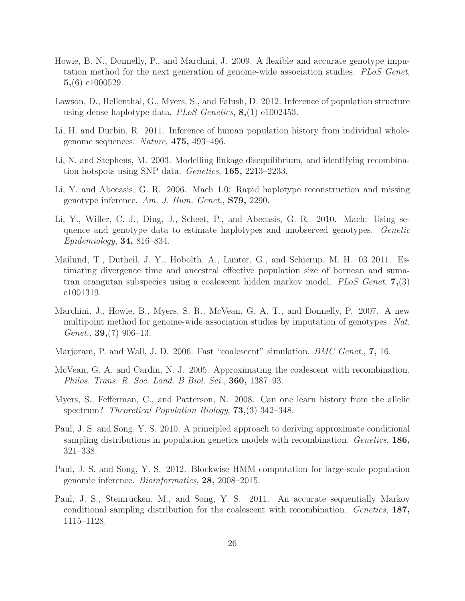- Howie, B. N., Donnelly, P., and Marchini, J. 2009. A flexible and accurate genotype imputation method for the next generation of genome-wide association studies. PLoS Genet, 5,(6) e1000529.
- Lawson, D., Hellenthal, G., Myers, S., and Falush, D. 2012. Inference of population structure using dense haplotype data. PLoS Genetics, 8,(1) e1002453.
- Li, H. and Durbin, R. 2011. Inference of human population history from individual wholegenome sequences. Nature, 475, 493–496.
- Li, N. and Stephens, M. 2003. Modelling linkage disequilibrium, and identifying recombination hotspots using SNP data. Genetics, 165, 2213–2233.
- Li, Y. and Abecasis, G. R. 2006. Mach 1.0: Rapid haplotype reconstruction and missing genotype inference. Am. J. Hum. Genet., S79, 2290.
- Li, Y., Willer, C. J., Ding, J., Scheet, P., and Abecasis, G. R. 2010. Mach: Using sequence and genotype data to estimate haplotypes and unobserved genotypes. Genetic Epidemiology, 34, 816–834.
- Mailund, T., Dutheil, J. Y., Hobolth, A., Lunter, G., and Schierup, M. H. 03 2011. Estimating divergence time and ancestral effective population size of bornean and sumatran orangutan subspecies using a coalescent hidden markov model. PLoS Genet, 7,(3) e1001319.
- Marchini, J., Howie, B., Myers, S. R., McVean, G. A. T., and Donnelly, P. 2007. A new multipoint method for genome-wide association studies by imputation of genotypes. Nat. Genet.,  $39,(7)$  906–13.
- Marjoram, P. and Wall, J. D. 2006. Fast "coalescent" simulation. *BMC Genet.*, **7**, 16.
- McVean, G. A. and Cardin, N. J. 2005. Approximating the coalescent with recombination. Philos. Trans. R. Soc. Lond. B Biol. Sci., 360, 1387–93.
- Myers, S., Fefferman, C., and Patterson, N. 2008. Can one learn history from the allelic spectrum? *Theoretical Population Biology*, **73**, (3) 342–348.
- Paul, J. S. and Song, Y. S. 2010. A principled approach to deriving approximate conditional sampling distributions in population genetics models with recombination. Genetics, 186, 321–338.
- Paul, J. S. and Song, Y. S. 2012. Blockwise HMM computation for large-scale population genomic inference. Bioinformatics, 28, 2008–2015.
- Paul, J. S., Steinrücken, M., and Song, Y. S. 2011. An accurate sequentially Markov conditional sampling distribution for the coalescent with recombination. Genetics, 187, 1115–1128.